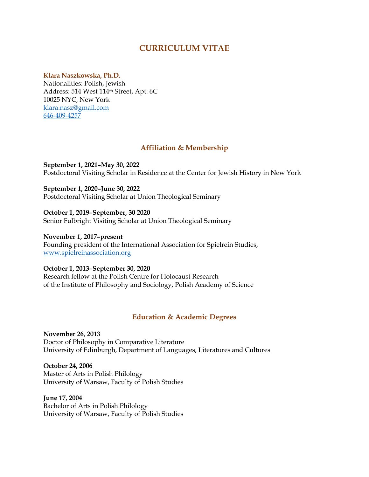# **CURRICULUM VITAE**

## **Klara Naszkowska, Ph.D.**

Nationalities: Polish, Jewish Address: 514 West 114th Street, Apt. 6C 10025 NYC, New York klara.nasz@gmail.com 646-409-4257

## **Affiliation & Membership**

**September 1, 2021–May 30, 2022**  Postdoctoral Visiting Scholar in Residence at the Center for Jewish History in New York

**September 1, 2020–June 30, 2022** Postdoctoral Visiting Scholar at Union Theological Seminary

**October 1, 2019–September, 30 2020**  Senior Fulbright Visiting Scholar at Union Theological Seminary

**November 1, 2017–present** Founding president of the International Association for Spielrein Studies, www.spielreinassociation.org

**October 1, 2013–September 30, 2020**  Research fellow at the Polish Centre for Holocaust Research of the Institute of Philosophy and Sociology, Polish Academy of Science

## **Education & Academic Degrees**

**November 26, 2013** Doctor of Philosophy in Comparative Literature University of Edinburgh, Department of Languages, Literatures and Cultures

**October 24, 2006** Master of Arts in Polish Philology University of Warsaw, Faculty of Polish Studies

**June 17, 2004** Bachelor of Arts in Polish Philology University of Warsaw, Faculty of Polish Studies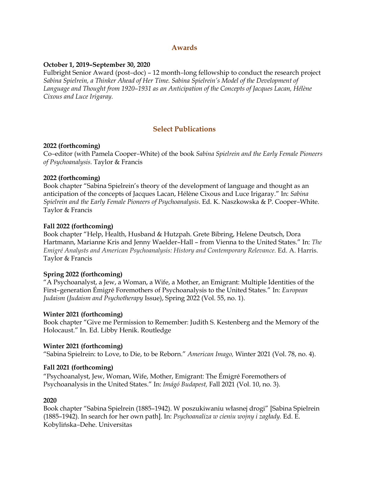## **Awards**

## **October 1, 2019–September 30, 2020**

Fulbright Senior Award (post*–*doc) – 12 month*–*long fellowship to conduct the research project *Sabina Spielrein, a Thinker Ahead of Her Time. Sabina Spielrein's Model of the Development of Language and Thought from 1920–1931 as an Anticipation of the Concepts of Jacques Lacan, Hélène Cixous and Luce Irigaray.*

# **Select Publications**

## **2022 (forthcoming)**

Co*–*editor (with Pamela Cooper*–*White) of the book *Sabina Spielrein and the Early Female Pioneers of Psychoanalysis.* Taylor & Francis

## **2022 (forthcoming)**

Book chapter "Sabina Spielrein's theory of the development of language and thought as an anticipation of the concepts of Jacques Lacan, Hélène Cixous and Luce Irigaray." In: *Sabina Spielrein and the Early Female Pioneers of Psychoanalysis*. Ed. K. Naszkowska & P. Cooper*–*White. Taylor & Francis

## **Fall 2022 (forthcoming)**

Book chapter "Help, Health, Husband & Hutzpah. Grete Bibring, Helene Deutsch, Dora Hartmann, Marianne Kris and Jenny Waelder–Hall – from Vienna to the United States." In: *The Emigré Analysts and American Psychoanalysis: History and Contemporary Relevance.* Ed. A. Harris. Taylor & Francis

## **Spring 2022 (forthcoming)**

"A Psychoanalyst, a Jew, a Woman, a Wife, a Mother, an Emigrant: Multiple Identities of the First–generation Émigré Foremothers of Psychoanalysis to the United States." In: *European Judaism* (*Judaism and Psychotherapy* Issue), Spring 2022 (Vol. 55, no. 1).

## **Winter 2021 (forthcoming)**

Book chapter "Give me Permission to Remember: Judith S. Kestenberg and the Memory of the Holocaust." In. Ed. Libby Henik. Routledge

## **Winter 2021 (forthcoming)**

"Sabina Spielrein: to Love, to Die, to be Reborn." *American Imago,* Winter 2021 (Vol. 78, no. 4).

## **Fall 2021 (forthcoming)**

"Psychoanalyst, Jew, Woman, Wife, Mother, Emigrant: The Émigré Foremothers of Psychoanalysis in the United States." In: *Imágó Budapest,* Fall 2021 (Vol. 10, no. 3).

## **2020**

Book chapter "Sabina Spielrein (1885–1942). W poszukiwaniu własnej drogi" [Sabina Spielrein (1885–1942). In search for her own path]. In: *Psychoanaliza w cieniu wojny i zagłady.* Ed. E. Kobylińska*–*Dehe. Universitas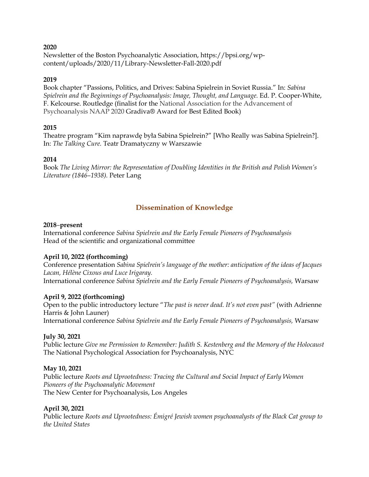#### **2020**

Newsletter of the Boston Psychoanalytic Association, https://bpsi.org/wpcontent/uploads/2020/11/Library-Newsletter-Fall-2020.pdf

## **2019**

Book chapter "Passions, Politics, and Drives: Sabina Spielrein in Soviet Russia." In: *Sabina Spielrein and the Beginnings of Psychoanalysis: Image, Thought, and Language.* Ed. P. Cooper-White, F. Kelcourse. Routledge (finalist for the National Association for the Advancement of Psychoanalysis NAAP 2020 Gradiva® Award for Best Edited Book)

## **2015**

Theatre program "Kim naprawdę była Sabina Spielrein?" [Who Really was Sabina Spielrein?]. In: *The Talking Cure.* Teatr Dramatyczny w Warszawie

## **2014**

Book *The Living Mirror: the Representation of Doubling Identities in the British and Polish Women's Literature (1846–1938).* Peter Lang

# **Dissemination of Knowledge**

## **2018***–***present**

International conference *Sabina Spielrein and the Early Female Pioneers of Psychoanalysis* Head of the scientific and organizational committee

## **April 10, 2022 (forthcoming)**

Conference presentation *Sabina Spielrein's language of the mother: anticipation of the ideas of Jacques Lacan, Hélène Cixous and Luce Irigaray.* International conference *Sabina Spielrein and the Early Female Pioneers of Psychoanalysis,* Warsaw

## **April 9, 2022 (forthcoming)**

Open to the public introductory lecture "*The past is never dead. It's not even past"* (with Adrienne Harris & John Launer) International conference *Sabina Spielrein and the Early Female Pioneers of Psychoanalysis,* Warsaw

## **July 30, 2021**

Public lecture *Give me Permission to Remember: Judith S. Kestenberg and the Memory of the Holocaust* The National Psychological Association for Psychoanalysis, NYC

## **May 10, 2021**

Public lecture *Roots and Uprootedness: Tracing the Cultural and Social Impact of Early Women Pioneers of the Psychoanalytic Movement* The New Center for Psychoanalysis, Los Angeles

## **April 30, 2021**

Public lecture *Roots and Uprootedness: Émigré Jewish women psychoanalysts of the Black Cat group to the United States*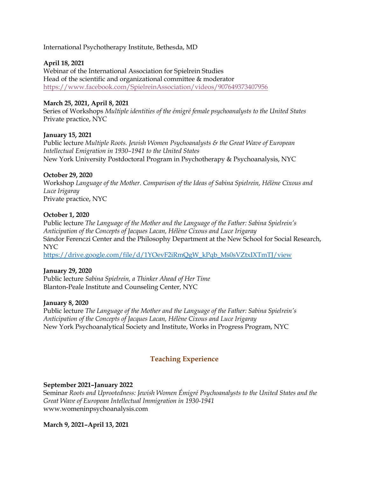International Psychotherapy Institute, Bethesda, MD

#### **April 18, 2021**

Webinar of the International Association for Spielrein Studies Head of the scientific and organizational committee & moderator https://www.facebook.com/SpielreinAssociation/videos/907649373407956

#### **March 25, 2021, April 8, 2021**

Series of Workshops *Multiple identities of the émigré female psychoanalysts to the United States* Private practice, NYC

#### **January 15, 2021**

Public lecture *Multiple Roots. Jewish Women Psychoanalysts & the Great Wave of European Intellectual Emigration in 1930–1941 to the United States* New York University Postdoctoral Program in Psychotherapy & Psychoanalysis, NYC

#### **October 29, 2020**

Workshop *Language of the Mother. Comparison of the Ideas of Sabina Spielrein, Hélène Cixous and Luce Irigaray* Private practice, NYC

#### **October 1, 2020**

Public lecture *The Language of the Mother and the Language of the Father: Sabina Spielrein's Anticipation of the Concepts of Jacques Lacan, Hélène Cixous and Luce Irigaray* Sándor Ferenczi Center and the Philosophy Department at the New School for Social Research, NYC

https://drive.google.com/file/d/1YOevF2iRmQgW\_kPqb\_Ms0sVZtxIXTmTJ/view

#### **January 29, 2020**

Public lecture *Sabina Spielrein, a Thinker Ahead of Her Time* Blanton-Peale Institute and Counseling Center, NYC

#### **January 8, 2020**

Public lecture *The Language of the Mother and the Language of the Father: Sabina Spielrein's Anticipation of the Concepts of Jacques Lacan, Hélène Cixous and Luce Irigaray* New York Psychoanalytical Society and Institute, Works in Progress Program, NYC

## **Teaching Experience**

#### **September 2021–January 2022**

Seminar *Roots and Uprootedness: Jewish Women Émigré Psychoanalysts to the United States and the Great Wave of European Intellectual Immigration in 1930-1941* www.womeninpsychoanalysis.com

#### **March 9, 2021–April 13, 2021**